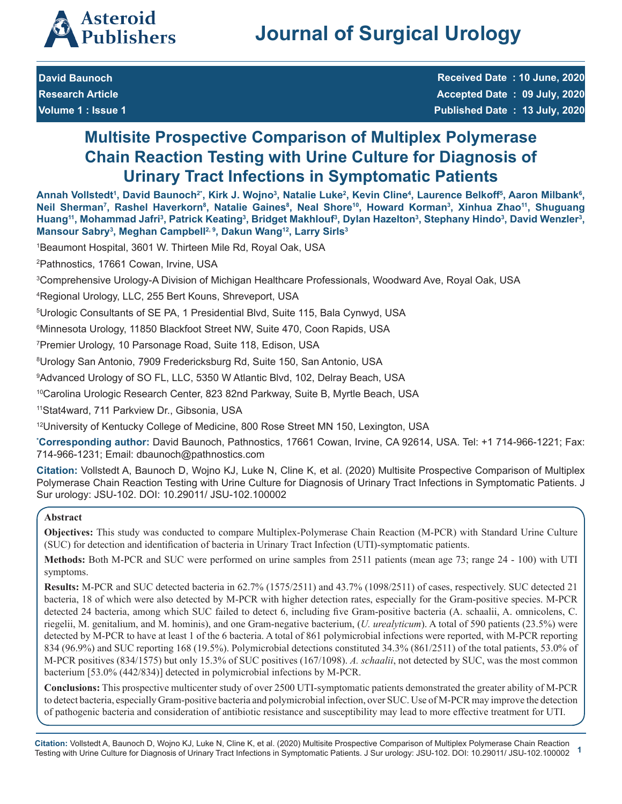

**David Baunoch**

**Research Article Volume 1 : Issue 1**

**Received Date : 10 June, 2020 Accepted Date : 09 July, 2020 Published Date : 13 July, 2020**

# **Multisite Prospective Comparison of Multiplex Polymerase Chain Reaction Testing with Urine Culture for Diagnosis of Urinary Tract Infections in Symptomatic Patients**

Annah Vollstedt', David Baunoch<sup>2</sup>', Kirk J. Wojno<sup>3</sup>, Natalie Luke<sup>2</sup>, Kevin Cline<sup>4</sup>, Laurence Belkoff<sup>s</sup>, Aaron Milbank<sup>6</sup>, Neil Sherman<sup>7</sup>, Rashel Haverkorn<sup>8</sup>, Natalie Gaines<sup>8</sup>, Neal Shore<sup>10</sup>, Howard Korman<sup>3</sup>, Xinhua Zhao<sup>11</sup>, Shuguang Huang<sup>11</sup>, Mohammad Jafri<sup>3</sup>, Patrick Keating<sup>3</sup>, Bridget Makhlouf<sup>3</sup>, Dylan Hazelton<sup>3</sup>, Stephany Hindo<sup>3</sup>, David Wenzler<sup>3</sup>, **Mansour Sabry3 , Meghan Campbell2, 9, Dakun Wang12, Larry Sirls3**

1 Beaumont Hospital, 3601 W. Thirteen Mile Rd, Royal Oak, USA

2 Pathnostics, 17661 Cowan, Irvine, USA

3 Comprehensive Urology-A Division of Michigan Healthcare Professionals, Woodward Ave, Royal Oak, USA

4 Regional Urology, LLC, 255 Bert Kouns, Shreveport, USA

5 Urologic Consultants of SE PA, 1 Presidential Blvd, Suite 115, Bala Cynwyd, USA

6 Minnesota Urology, 11850 Blackfoot Street NW, Suite 470, Coon Rapids, USA

7 Premier Urology, 10 Parsonage Road, Suite 118, Edison, USA

8 Urology San Antonio, 7909 Fredericksburg Rd, Suite 150, San Antonio, USA

9 Advanced Urology of SO FL, LLC, 5350 W Atlantic Blvd, 102, Delray Beach, USA

10Carolina Urologic Research Center, 823 82nd Parkway, Suite B, Myrtle Beach, USA

11Stat4ward, 711 Parkview Dr., Gibsonia, USA

12University of Kentucky College of Medicine, 800 Rose Street MN 150, Lexington, USA

**\* Corresponding author:** David Baunoch, Pathnostics, 17661 Cowan, Irvine, CA 92614, USA. Tel: +1 714-966-1221; Fax: 714-966-1231; Email: dbaunoch@pathnostics.com

**Citation:** Vollstedt A, Baunoch D, Wojno KJ, Luke N, Cline K, et al. (2020) Multisite Prospective Comparison of Multiplex Polymerase Chain Reaction Testing with Urine Culture for Diagnosis of Urinary Tract Infections in Symptomatic Patients. J Sur urology: JSU-102. DOI: 10.29011/ JSU-102.100002

# **Abstract**

**Objectives:** This study was conducted to compare Multiplex-Polymerase Chain Reaction (M-PCR) with Standard Urine Culture (SUC) for detection and identification of bacteria in Urinary Tract Infection (UTI)-symptomatic patients.

**Methods:** Both M-PCR and SUC were performed on urine samples from 2511 patients (mean age 73; range 24 - 100) with UTI symptoms.

**Results:** M-PCR and SUC detected bacteria in 62.7% (1575/2511) and 43.7% (1098/2511) of cases, respectively. SUC detected 21 bacteria, 18 of which were also detected by M-PCR with higher detection rates, especially for the Gram-positive species. M-PCR detected 24 bacteria, among which SUC failed to detect 6, including five Gram-positive bacteria (A. schaalii, A. omnicolens, C. riegelii, M. genitalium, and M. hominis), and one Gram-negative bacterium, (*U. urealyticum*). A total of 590 patients (23.5%) were detected by M-PCR to have at least 1 of the 6 bacteria. A total of 861 polymicrobial infections were reported, with M-PCR reporting 834 (96.9%) and SUC reporting 168 (19.5%). Polymicrobial detections constituted 34.3% (861/2511) of the total patients, 53.0% of M-PCR positives (834/1575) but only 15.3% of SUC positives (167/1098). *A. schaalii*, not detected by SUC, was the most common bacterium [53.0% (442/834)] detected in polymicrobial infections by M-PCR.

**Conclusions:** This prospective multicenter study of over 2500 UTI-symptomatic patients demonstrated the greater ability of M-PCR to detect bacteria, especially Gram-positive bacteria and polymicrobial infection, over SUC. Use of M-PCR may improve the detection of pathogenic bacteria and consideration of antibiotic resistance and susceptibility may lead to more effective treatment for UTI.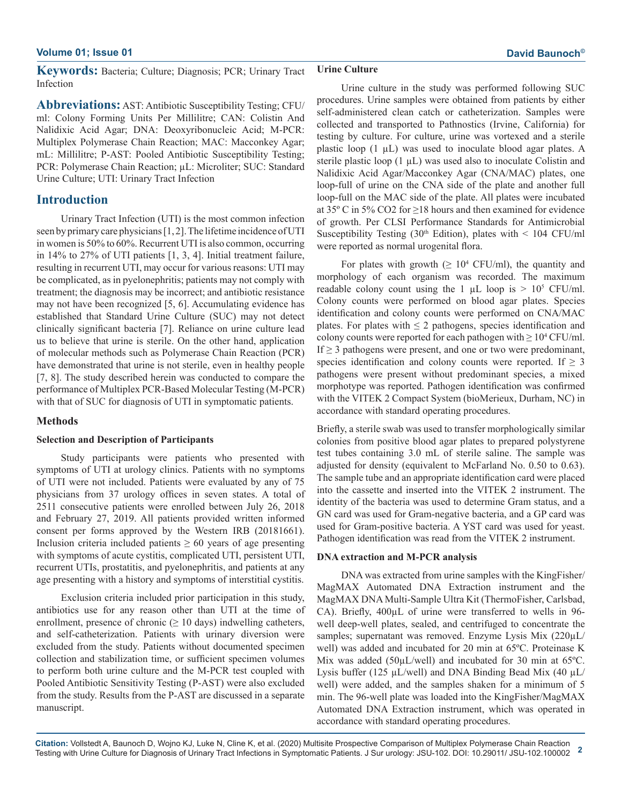**Keywords:** Bacteria; Culture; Diagnosis; PCR; Urinary Tract Infection

**Abbreviations:** AST: Antibiotic Susceptibility Testing; CFU/ ml: Colony Forming Units Per Millilitre; CAN: Colistin And Nalidixic Acid Agar; DNA: Deoxyribonucleic Acid; M-PCR: Multiplex Polymerase Chain Reaction; MAC: Macconkey Agar; mL: Millilitre; P-AST: Pooled Antibiotic Susceptibility Testing; PCR: Polymerase Chain Reaction; µL: Microliter; SUC: Standard Urine Culture; UTI: Urinary Tract Infection

# **Introduction**

Urinary Tract Infection (UTI) is the most common infection seen by primary care physicians [1, 2]. The lifetime incidence of UTI in women is 50% to 60%. Recurrent UTI is also common, occurring in 14% to 27% of UTI patients [1, 3, 4]. Initial treatment failure, resulting in recurrent UTI, may occur for various reasons: UTI may be complicated, as in pyelonephritis; patients may not comply with treatment; the diagnosis may be incorrect; and antibiotic resistance may not have been recognized [5, 6]. Accumulating evidence has established that Standard Urine Culture (SUC) may not detect clinically significant bacteria [7]. Reliance on urine culture lead us to believe that urine is sterile. On the other hand, application of molecular methods such as Polymerase Chain Reaction (PCR) have demonstrated that urine is not sterile, even in healthy people [7, 8]. The study described herein was conducted to compare the performance of Multiplex PCR-Based Molecular Testing (M-PCR) with that of SUC for diagnosis of UTI in symptomatic patients.

### **Methods**

### **Selection and Description of Participants**

Study participants were patients who presented with symptoms of UTI at urology clinics. Patients with no symptoms of UTI were not included. Patients were evaluated by any of 75 physicians from 37 urology offices in seven states. A total of 2511 consecutive patients were enrolled between July 26, 2018 and February 27, 2019. All patients provided written informed consent per forms approved by the Western IRB (20181661). Inclusion criteria included patients  $\geq 60$  years of age presenting with symptoms of acute cystitis, complicated UTI, persistent UTI, recurrent UTIs, prostatitis, and pyelonephritis, and patients at any age presenting with a history and symptoms of interstitial cystitis.

Exclusion criteria included prior participation in this study, antibiotics use for any reason other than UTI at the time of enrollment, presence of chronic ( $\geq 10$  days) indwelling catheters, and self-catheterization. Patients with urinary diversion were excluded from the study. Patients without documented specimen collection and stabilization time, or sufficient specimen volumes to perform both urine culture and the M-PCR test coupled with Pooled Antibiotic Sensitivity Testing (P-AST) were also excluded from the study. Results from the P-AST are discussed in a separate manuscript.

### **Urine Culture**

Urine culture in the study was performed following SUC procedures. Urine samples were obtained from patients by either self-administered clean catch or catheterization. Samples were collected and transported to Pathnostics (Irvine, California) for testing by culture. For culture, urine was vortexed and a sterile plastic loop  $(1 \mu L)$  was used to inoculate blood agar plates. A sterile plastic loop (1 µL) was used also to inoculate Colistin and Nalidixic Acid Agar/Macconkey Agar (CNA/MAC) plates, one loop-full of urine on the CNA side of the plate and another full loop-full on the MAC side of the plate. All plates were incubated at 35 $\degree$  C in 5% CO2 for  $\geq$ 18 hours and then examined for evidence of growth. Per CLSI Performance Standards for Antimicrobial Susceptibility Testing (30<sup>th</sup> Edition), plates with  $\leq$  104 CFU/ml were reported as normal urogenital flora.

For plates with growth  $(\geq 10^4 \text{ CFU/ml})$ , the quantity and morphology of each organism was recorded. The maximum readable colony count using the 1  $\mu$ L loop is > 10<sup>5</sup> CFU/ml. Colony counts were performed on blood agar plates. Species identification and colony counts were performed on CNA/MAC plates. For plates with  $\leq 2$  pathogens, species identification and colony counts were reported for each pathogen with  $\geq 10^4$  CFU/ml. If  $\geq$  3 pathogens were present, and one or two were predominant, species identification and colony counts were reported. If  $\geq$  3 pathogens were present without predominant species, a mixed morphotype was reported. Pathogen identification was confirmed with the VITEK 2 Compact System (bioMerieux, Durham, NC) in accordance with standard operating procedures.

Briefly, a sterile swab was used to transfer morphologically similar colonies from positive blood agar plates to prepared polystyrene test tubes containing 3.0 mL of sterile saline. The sample was adjusted for density (equivalent to McFarland No. 0.50 to 0.63). The sample tube and an appropriate identification card were placed into the cassette and inserted into the VITEK 2 instrument. The identity of the bacteria was used to determine Gram status, and a GN card was used for Gram-negative bacteria, and a GP card was used for Gram-positive bacteria. A YST card was used for yeast. Pathogen identification was read from the VITEK 2 instrument.

#### **DNA extraction and M-PCR analysis**

DNA was extracted from urine samples with the KingFisher/ MagMAX Automated DNA Extraction instrument and the MagMAX DNA Multi-Sample Ultra Kit (ThermoFisher, Carlsbad, CA). Briefly,  $400\mu$ L of urine were transferred to wells in 96well deep-well plates, sealed, and centrifuged to concentrate the samples; supernatant was removed. Enzyme Lysis Mix (220µL/ well) was added and incubated for 20 min at 65ºC. Proteinase K Mix was added (50µL/well) and incubated for 30 min at 65<sup>o</sup>C. Lysis buffer (125  $\mu$ L/well) and DNA Binding Bead Mix (40  $\mu$ L/ well) were added, and the samples shaken for a minimum of 5 min. The 96-well plate was loaded into the KingFisher/MagMAX Automated DNA Extraction instrument, which was operated in accordance with standard operating procedures.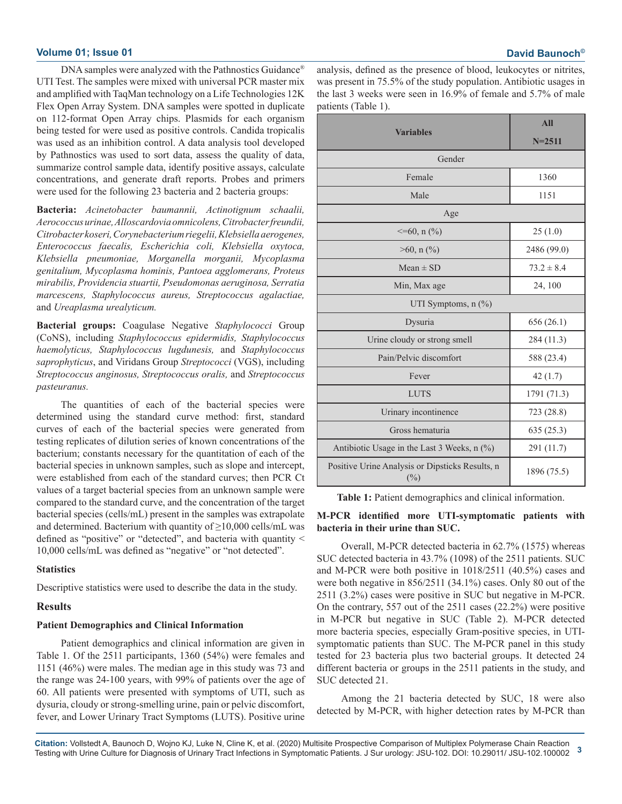DNA samples were analyzed with the Pathnostics Guidance® UTI Test. The samples were mixed with universal PCR master mix and amplified with TaqMan technology on a Life Technologies 12K Flex Open Array System. DNA samples were spotted in duplicate on 112-format Open Array chips. Plasmids for each organism being tested for were used as positive controls. Candida tropicalis was used as an inhibition control. A data analysis tool developed by Pathnostics was used to sort data, assess the quality of data, summarize control sample data, identify positive assays, calculate concentrations, and generate draft reports. Probes and primers were used for the following 23 bacteria and 2 bacteria groups:

**Bacteria:** *Acinetobacter baumannii, Actinotignum schaalii, Aerococcus urinae, Alloscardovia omnicolens, Citrobacter freundii, Citrobacter koseri, Corynebacterium riegelii, Klebsiella aerogenes, Enterococcus faecalis, Escherichia coli, Klebsiella oxytoca, Klebsiella pneumoniae, Morganella morganii, Mycoplasma genitalium, Mycoplasma hominis, Pantoea agglomerans, Proteus mirabilis, Providencia stuartii, Pseudomonas aeruginosa, Serratia marcescens, Staphylococcus aureus, Streptococcus agalactiae,*  and *Ureaplasma urealyticum.*

**Bacterial groups:** Coagulase Negative *Staphylococci* Group (CoNS), including *Staphylococcus epidermidis, Staphylococcus haemolyticus, Staphylococcus lugdunesis,* and *Staphylococcus saprophyticus*, and Viridans Group *Streptococci* (VGS), including *Streptococcus anginosus, Streptococcus oralis,* and *Streptococcus pasteuranus.*

The quantities of each of the bacterial species were determined using the standard curve method: first, standard curves of each of the bacterial species were generated from testing replicates of dilution series of known concentrations of the bacterium; constants necessary for the quantitation of each of the bacterial species in unknown samples, such as slope and intercept, were established from each of the standard curves; then PCR Ct values of a target bacterial species from an unknown sample were compared to the standard curve, and the concentration of the target bacterial species (cells/mL) present in the samples was extrapolate and determined. Bacterium with quantity of  $\geq$ 10,000 cells/mL was defined as "positive" or "detected", and bacteria with quantity < 10,000 cells/mL was defined as "negative" or "not detected".

### **Statistics**

Descriptive statistics were used to describe the data in the study.

### **Results**

### **Patient Demographics and Clinical Information**

Patient demographics and clinical information are given in Table 1. Of the 2511 participants, 1360 (54%) were females and 1151 (46%) were males. The median age in this study was 73 and the range was 24-100 years, with 99% of patients over the age of 60. All patients were presented with symptoms of UTI, such as dysuria, cloudy or strong-smelling urine, pain or pelvic discomfort, fever, and Lower Urinary Tract Symptoms (LUTS). Positive urine analysis, defined as the presence of blood, leukocytes or nitrites, was present in 75.5% of the study population. Antibiotic usages in the last 3 weeks were seen in 16.9% of female and 5.7% of male patients (Table 1).

|                                                           | All            |  |
|-----------------------------------------------------------|----------------|--|
| <b>Variables</b>                                          | $N = 2511$     |  |
| Gender                                                    |                |  |
| Female                                                    | 1360           |  |
| Male                                                      | 1151           |  |
| Age                                                       |                |  |
| $\leq$ =60, n $(\%$ )                                     | 25(1.0)        |  |
| $>60$ , n $(\% )$                                         | 2486 (99.0)    |  |
| $Mean \pm SD$                                             | $73.2 \pm 8.4$ |  |
| Min, Max age                                              | 24, 100        |  |
| UTI Symptoms, $n$ $(\%)$                                  |                |  |
| Dysuria                                                   | 656 (26.1)     |  |
| Urine cloudy or strong smell                              | 284 (11.3)     |  |
| Pain/Pelvic discomfort                                    | 588 (23.4)     |  |
| Fever                                                     | 42(1.7)        |  |
| <b>LUTS</b>                                               | 1791 (71.3)    |  |
| Urinary incontinence                                      | 723 (28.8)     |  |
| Gross hematuria                                           | 635(25.3)      |  |
| Antibiotic Usage in the Last 3 Weeks, n (%)               | 291 (11.7)     |  |
| Positive Urine Analysis or Dipsticks Results, n<br>$(\%)$ | 1896 (75.5)    |  |

**Table 1:** Patient demographics and clinical information.

### **M-PCR identified more UTI-symptomatic patients with bacteria in their urine than SUC.**

Overall, M-PCR detected bacteria in 62.7% (1575) whereas SUC detected bacteria in 43.7% (1098) of the 2511 patients. SUC and M-PCR were both positive in 1018/2511 (40.5%) cases and were both negative in 856/2511 (34.1%) cases. Only 80 out of the 2511 (3.2%) cases were positive in SUC but negative in M-PCR. On the contrary, 557 out of the 2511 cases (22.2%) were positive in M-PCR but negative in SUC (Table 2). M-PCR detected more bacteria species, especially Gram-positive species, in UTIsymptomatic patients than SUC. The M-PCR panel in this study tested for 23 bacteria plus two bacterial groups. It detected 24 different bacteria or groups in the 2511 patients in the study, and SUC detected 21.

Among the 21 bacteria detected by SUC, 18 were also detected by M-PCR, with higher detection rates by M-PCR than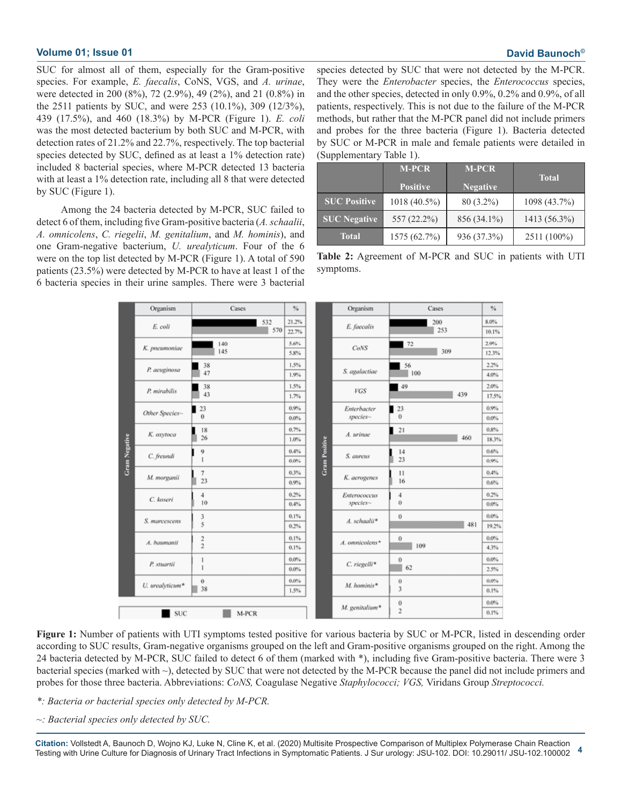SUC for almost all of them, especially for the Gram-positive species. For example, *E. faecalis*, CoNS, VGS, and *A. urinae*, were detected in 200 (8%), 72 (2.9%), 49 (2%), and 21 (0.8%) in the 2511 patients by SUC, and were 253 (10.1%), 309 (12/3%), 439 (17.5%), and 460 (18.3%) by M-PCR (Figure 1). *E. coli*  was the most detected bacterium by both SUC and M-PCR, with detection rates of 21.2% and 22.7%, respectively. The top bacterial species detected by SUC, defined as at least a 1% detection rate) included 8 bacterial species, where M-PCR detected 13 bacteria with at least a 1% detection rate, including all 8 that were detected by SUC (Figure 1).

Among the 24 bacteria detected by M-PCR, SUC failed to detect 6 of them, including five Gram-positive bacteria (*A. schaalii*, *A. omnicolens*, *C. riegelii*, *M. genitalium*, and *M. hominis*), and one Gram-negative bacterium, *U. urealyticum*. Four of the 6 were on the top list detected by M-PCR (Figure 1). A total of 590 patients (23.5%) were detected by M-PCR to have at least 1 of the 6 bacteria species in their urine samples. There were 3 bacterial species detected by SUC that were not detected by the M-PCR. They were the *Enterobacter* species, the *Enterococcus* species, and the other species, detected in only 0.9%, 0.2% and 0.9%, of all patients, respectively. This is not due to the failure of the M-PCR methods, but rather that the M-PCR panel did not include primers and probes for the three bacteria (Figure 1). Bacteria detected by SUC or M-PCR in male and female patients were detailed in (Supplementary Table 1).

|                     | <b>M-PCR</b>    | <b>M-PCR</b>    | <b>Total</b> |  |
|---------------------|-----------------|-----------------|--------------|--|
|                     | <b>Positive</b> | <b>Negative</b> |              |  |
| <b>SUC Positive</b> | 1018 (40.5%)    | 80 (3.2%)       | 1098 (43.7%) |  |
| <b>SUC</b> Negative | 557 (22.2%)     | 856 (34.1%)     | 1413 (56.3%) |  |
| <b>Total</b>        | 1575 (62.7%)    | 936 (37.3%)     | 2511 (100%)  |  |



|                      | Organism        | Cases<br>$\%$                 |                    |                      | Organism                 | Cases                         | %                |
|----------------------|-----------------|-------------------------------|--------------------|----------------------|--------------------------|-------------------------------|------------------|
|                      | E. coli         | 532<br>570                    | 21.2%<br>22.7%     |                      | E. faecalis              | 200<br>253                    | 8.0%<br>10.1%    |
|                      | K. pneumoniae   | 140<br>145                    | 5.6%<br>5.8%       |                      | CoNS                     | 72<br>309                     | 2.9%<br>12.3%    |
|                      | P. aeuginosa    | 38<br>47                      | 1.5%<br>1.9%       |                      | S. agalactiae            | 56<br>100                     | 2.2%<br>4.0%     |
|                      | P. mirabilis    | 38<br>43                      | 1.5%<br>1.7%       |                      | VGS                      | 49<br>439                     | 2.0%<br>17.5%    |
|                      | Other Species~  | 123<br>$\theta$               | 0.9%<br>$0.0\%$    |                      | Enterbacter<br>species~  | $\blacksquare$ 23<br>$\theta$ | 0.9%<br>$0.0\%$  |
| <b>Gram Negative</b> | K. oxytoca      | 18<br>26                      | 0.7%<br>1.0%       | <b>Gram Positive</b> | A. urinae                | $\blacksquare$ 21<br>460      | 0.8%<br>18.3%    |
|                      | C. freundi      | 9<br>1                        | 0.4%<br>$0.0\%$    |                      | S. aureus                | 14<br>23                      | 0.6%<br>0.9%     |
|                      | M. morganii     | 7<br>23                       | 0.3%<br>0.9%       |                      | K. aerogenes             | $^{11}$<br>16                 | 0.4%<br>0.6%     |
|                      | C. koseri       | 4<br>10                       | 0.2%<br>0.4%       |                      | Enterococcus<br>species- | 4<br>Ü                        | 0.2%<br>$0.0\%$  |
|                      | S. marcescens   | 3<br>5                        | 0.1%<br>0.2%       |                      | A. schaalii*             | $\,0$<br>481                  | $0.0\%$<br>19.2% |
|                      | A. baumanii     | $\tilde{c}$<br>$\overline{c}$ | 0.1%<br>0.1%       |                      | A. omnicolens*           | 0<br>109                      | 0.0%<br>4.3%     |
|                      | P. stuartii     | 1<br>$\mathbf{1}$             | $0.0\%$<br>$0.0\%$ |                      | C. riegelli*             | 0<br>62                       | 0.0%<br>2.5%     |
|                      | U. urealyticum* | 0<br>38                       | $0.0\%$<br>1.5%    |                      | M. hominis*              | 0<br>3                        | $0.0\%$<br>0.1%  |
|                      | <b>SUC</b>      | M-PCR                         |                    |                      | M. genitalium*           | 0<br>$\overline{2}$           | 0.0%<br>0.1%     |

**Figure 1:** Number of patients with UTI symptoms tested positive for various bacteria by SUC or M-PCR, listed in descending order according to SUC results, Gram-negative organisms grouped on the left and Gram-positive organisms grouped on the right. Among the 24 bacteria detected by M-PCR, SUC failed to detect 6 of them (marked with \*), including five Gram-positive bacteria. There were 3 bacterial species (marked with ~), detected by SUC that were not detected by the M-PCR because the panel did not include primers and probes for those three bacteria. Abbreviations: *CoNS,* Coagulase Negative *Staphylococci; VGS,* Viridans Group *Streptococci.*

*\*: Bacteria or bacterial species only detected by M-PCR.*

*~: Bacterial species only detected by SUC.*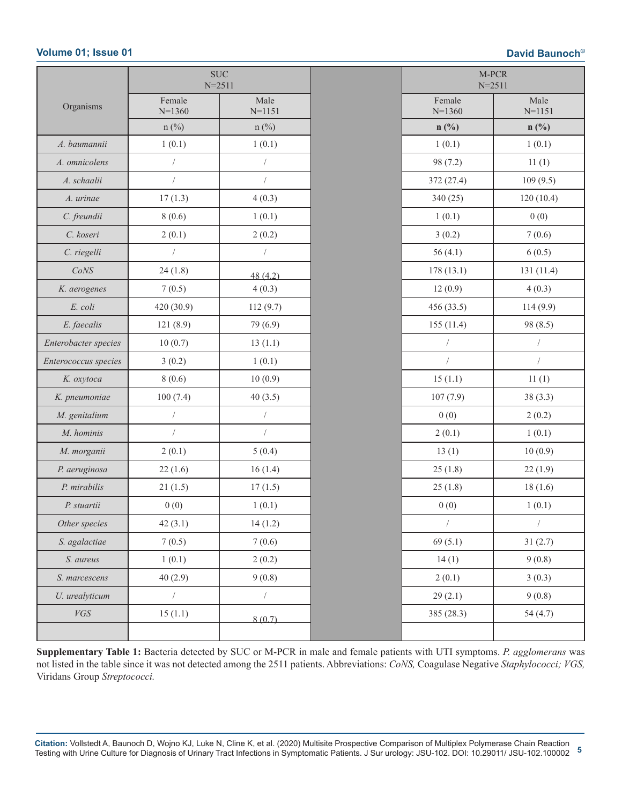|                      |                      | <b>SUC</b><br>$N = 2511$ | M-PCR<br>$N = 2511$ |                    |
|----------------------|----------------------|--------------------------|---------------------|--------------------|
| Organisms            | Female<br>$N=1360$   | Male<br>$N = 1151$       | Female<br>$N=1360$  | Male<br>$N = 1151$ |
|                      | $n$ (%)              | $n$ (%)                  | $n(^{0}/_{0})$      | $n$ (%)            |
| A. baumannii         | 1(0.1)               | 1(0.1)                   | 1(0.1)              | 1(0.1)             |
| A. omnicolens        |                      | 7                        | 98 (7.2)            | 11(1)              |
| A. schaalii          | $\sqrt{2}$           | $\sqrt{2}$               | 372 (27.4)          | 109(9.5)           |
| A. urinae            | 17(1.3)              | 4(0.3)                   | 340(25)             | 120(10.4)          |
| C. freundii          | 8(0.6)               | 1(0.1)                   | 1(0.1)              | 0(0)               |
| C. koseri            | 2(0.1)               | 2(0.2)                   | 3(0.2)              | 7(0.6)             |
| C. riegelli          | $\sqrt{2}$           | $\sqrt{2}$               | 56 $(4.1)$          | 6(0.5)             |
| CoNS                 | 24(1.8)              | 48(4.2)                  | 178(13.1)           | 131 (11.4)         |
| K. aerogenes         | 7(0.5)               | 4(0.3)                   | 12(0.9)             | 4(0.3)             |
| E. coli              | 420 (30.9)           | 112(9.7)                 | 456 (33.5)          | 114(9.9)           |
| E. faecalis          | 121(8.9)             | 79 (6.9)                 | 155(11.4)           | 98 (8.5)           |
| Enterobacter species | 10(0.7)              | 13(1.1)                  |                     |                    |
| Enterococcus species | 3(0.2)               | 1(0.1)                   | $\sqrt{2}$          | $\sqrt{2}$         |
| K. oxytoca           | 8(0.6)               | 10(0.9)                  | 15(1.1)             | 11(1)              |
| K. pneumoniae        | 100(7.4)             | 40(3.5)                  | 107(7.9)            | 38(3.3)            |
| M. genitalium        | $\sqrt{\phantom{a}}$ | $\sqrt{2}$               | 0(0)                | 2(0.2)             |
| M. hominis           | $\sqrt{2}$           | $\overline{ }$           | 2(0.1)              | 1(0.1)             |
| M. morganii          | 2(0.1)               | 5(0.4)                   | 13(1)               | 10(0.9)            |
| P. aeruginosa        | 22(1.6)              | 16(1.4)                  | 25(1.8)             | 22(1.9)            |
| P. mirabilis         | 21(1.5)              | 17(1.5)                  | 25(1.8)             | 18(1.6)            |
| P. stuartii          | 0(0)                 | 1(0.1)                   | 0(0)                | 1(0.1)             |
| Other species        | 42(3.1)              | 14(1.2)                  | $\sqrt{2}$          | $\overline{ }$     |
| S. agalactiae        | 7(0.5)               | 7(0.6)                   | 69(5.1)             | 31(2.7)            |
| S. aureus            | 1(0.1)               | 2(0.2)                   | 14(1)               | 9(0.8)             |
| S. marcescens        | 40(2.9)              | 9(0.8)                   | 2(0.1)              | 3(0.3)             |
| U. urealyticum       | $\sqrt{2}$           | $\sqrt{2}$               | 29(2.1)             | 9(0.8)             |
| ${\it VGS}$          | 15(1.1)              | 8(0.7)                   | 385 (28.3)          | 54(4.7)            |
|                      |                      |                          |                     |                    |
|                      |                      |                          |                     |                    |

**Supplementary Table 1:** Bacteria detected by SUC or M-PCR in male and female patients with UTI symptoms. *P. agglomerans* was not listed in the table since it was not detected among the 2511 patients. Abbreviations: *CoNS,* Coagulase Negative *Staphylococci; VGS,*  Viridans Group *Streptococci.*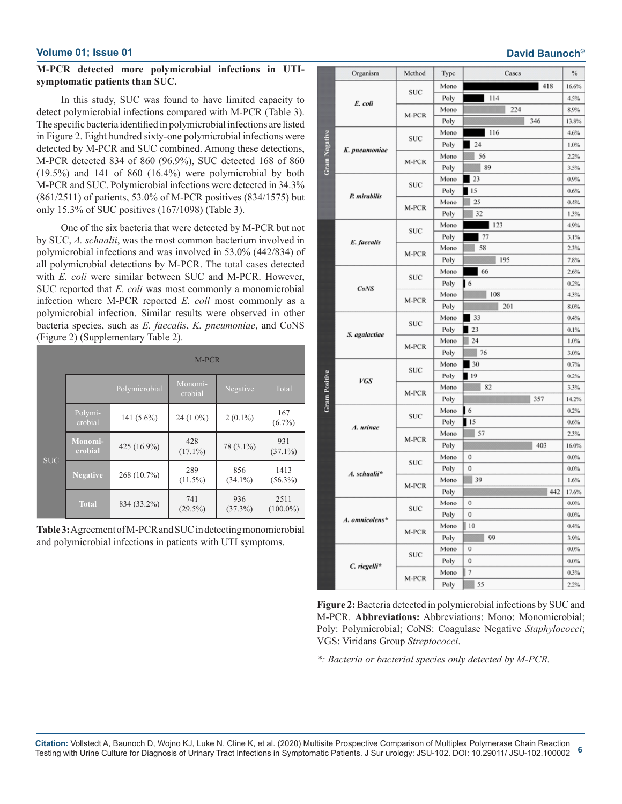### **M-PCR detected more polymicrobial infections in UTIsymptomatic patients than SUC.**

In this study, SUC was found to have limited capacity to detect polymicrobial infections compared with M-PCR (Table 3). The specific bacteria identified in polymicrobial infections are listed in Figure 2. Eight hundred sixty-one polymicrobial infections were detected by M-PCR and SUC combined. Among these detections, M-PCR detected 834 of 860 (96.9%), SUC detected 168 of 860  $(19.5\%)$  and 141 of 860  $(16.4\%)$  were polymicrobial by both M-PCR and SUC. Polymicrobial infections were detected in 34.3% (861/2511) of patients, 53.0% of M-PCR positives (834/1575) but only 15.3% of SUC positives (167/1098) (Table 3).

One of the six bacteria that were detected by M-PCR but not by SUC, *A. schaalii*, was the most common bacterium involved in polymicrobial infections and was involved in 53.0% (442/834) of all polymicrobial detections by M-PCR. The total cases detected with *E. coli* were similar between SUC and M-PCR. However, SUC reported that *E. coli* was most commonly a monomicrobial infection where M-PCR reported *E. coli* most commonly as a polymicrobial infection. Similar results were observed in other bacteria species, such as *E. faecalis*, *K. pneumoniae*, and CoNS (Figure 2) (Supplementary Table 2).

|            |                    | M-PCR         |                    |                   |                     |  |  |
|------------|--------------------|---------------|--------------------|-------------------|---------------------|--|--|
|            |                    | Polymicrobial | Monomi-<br>crobial | Negative          | Total               |  |  |
|            | Polymi-<br>crobial | 141 $(5.6\%)$ | $24(1.0\%)$        | $2(0.1\%)$        | 167<br>$(6.7\%)$    |  |  |
| <b>SUC</b> | Monomi-<br>crobial | 425 (16.9%)   | 428<br>$(17.1\%)$  | 78 (3.1%)         | 931<br>$(37.1\%)$   |  |  |
|            | <b>Negative</b>    | 268 (10.7%)   | 289<br>$(11.5\%)$  | 856<br>$(34.1\%)$ | 1413<br>$(56.3\%)$  |  |  |
|            | <b>Total</b>       | 834 (33.2%)   | 741<br>$(29.5\%)$  | 936<br>$(37.3\%)$ | 2511<br>$(100.0\%)$ |  |  |

**Table 3:** Agreement of M-PCR and SUC in detecting monomicrobial and polymicrobial infections in patients with UTI symptoms.

|               | Organism       | Method     | Type | Cases       | $\%$    |
|---------------|----------------|------------|------|-------------|---------|
| Gram Negative |                | <b>SUC</b> | Mono | 418         | 16.6%   |
|               | E. coli        |            | Poly | 114         | 4.5%    |
|               |                | M-PCR      | Mono | 224         | 8.9%    |
|               |                |            | Poly | 346         | 13.8%   |
|               |                | SUC        | Mono | 116         | 4.6%    |
|               | K. pneumoniae  |            | Poly | 24          | 1.0%    |
|               |                | M-PCR      | Mono | 56          | 2.2%    |
|               |                |            | Poly | 89          | 3.5%    |
|               |                | SUC        | Mono | 23          | 0.9%    |
|               | P. mirabilis   |            | Poly | 15          | 0.6%    |
|               |                | M-PCR      | Mono | 25          | 0.4%    |
|               |                |            | Poly | 32          | 1.3%    |
|               |                | SUC        | Mono | 123         | 4.9%    |
|               | E. faecalis    |            | Poly | 77          | 3.1%    |
|               |                | M-PCR      | Mono | 58          | 2.3%    |
|               |                |            | Poly | 195         | 7.8%    |
|               |                | SUC        | Mono | 66          | 2.6%    |
|               | <b>CoNS</b>    |            | Poly | 16          | 0.2%    |
|               |                | M-PCR      | Mono | 108         | 4.3%    |
|               |                |            | Poly | 201         | 8.0%    |
|               | S. agalactiae  | SUC        | Mono | 33          | 0.4%    |
|               |                |            | Poly | 23          | 0.1%    |
|               |                | M-PCR      | Mono | 24          | 1.0%    |
|               |                |            | Poly | 76          | 3.0%    |
|               |                | <b>SUC</b> | Mono | 30          | 0.7%    |
|               | <b>VGS</b>     |            | Poly | <b>19</b>   | 0.2%    |
|               |                | M-PCR      | Mono | 82          | 3.3%    |
| Gram Positive |                |            | Poly | 357         | 14.2%   |
|               |                | <b>SUC</b> | Mono | 16          | 0.2%    |
|               | A. urinae      |            | Poly | 15          | 0.6%    |
|               |                | M-PCR      | Mono | 57          | 2.3%    |
|               |                |            | Poly | 403         | 16.0%   |
|               |                | <b>SUC</b> | Mono | 0           | 0.0%    |
|               | A. schaalii*   |            | Poly | $\mathbf 0$ | 0.0%    |
|               |                | M-PCR      | Mono | 39          | 1.6%    |
|               |                |            | Poly | 442         | 17.6%   |
|               |                | <b>SUC</b> | Mono | 0           | 0.0%    |
|               | A. omnicolens* |            | Poly | 0           | 0.0%    |
|               |                | M-PCR      | Mono | 10          | 0.4%    |
|               |                |            | Poly | 99          | 3.9%    |
|               | C. riegelli*   | SUC        | Mono | $\mathbf 0$ | $0.0\%$ |
|               |                |            | Poly | $\mathbf 0$ | 0.0%    |
|               |                | M-PCR      | Mono | $\tau$      | 0.3%    |
|               |                |            | Poly | 55          | 2.2%    |

**Figure 2:** Bacteria detected in polymicrobial infections by SUC and M-PCR. **Abbreviations:** Abbreviations: Mono: Monomicrobial; Poly: Polymicrobial; CoNS: Coagulase Negative *Staphylococci*; VGS: Viridans Group *Streptococci*.

*\*: Bacteria or bacterial species only detected by M-PCR.*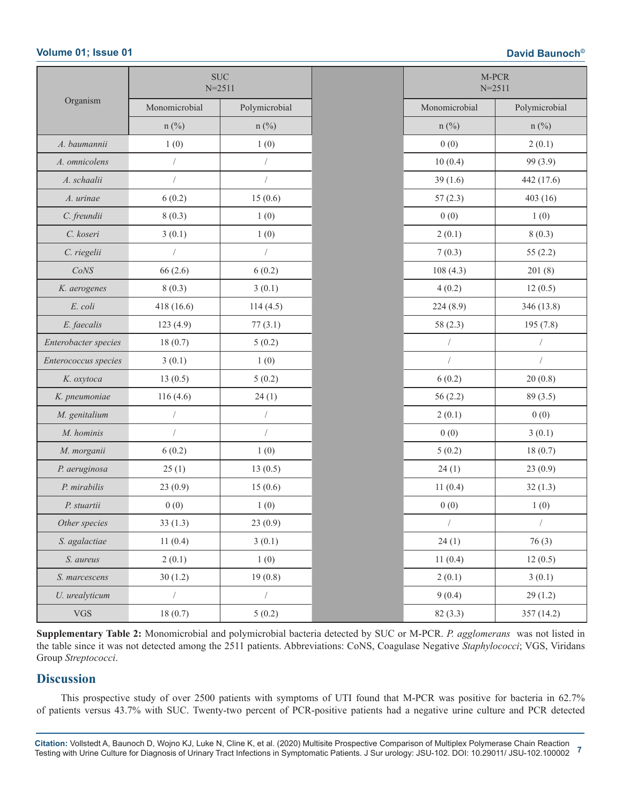|                      | $\rm SUC$<br>$N = 2511$ |                |               | M-PCR<br>$N = 2511$ |
|----------------------|-------------------------|----------------|---------------|---------------------|
| Organism             | Monomicrobial           | Polymicrobial  | Monomicrobial | Polymicrobial       |
|                      | $n$ (%)                 | $n$ (%)        | $n$ (%)       | $n$ (%)             |
| A. baumannii         | 1(0)                    | 1(0)           | 0(0)          | 2(0.1)              |
| A. omnicolens        | $\sqrt{\phantom{a}}$    |                | 10(0.4)       | 99 (3.9)            |
| A. schaalii          | $\sqrt{\phantom{a}}$    | $\sqrt{2}$     | 39(1.6)       | 442 (17.6)          |
| A. urinae            | 6(0.2)                  | 15(0.6)        | 57(2.3)       | 403(16)             |
| C. freundii          | 8(0.3)                  | 1(0)           | 0(0)          | 1(0)                |
| C. koseri            | 3(0.1)                  | 1(0)           | 2(0.1)        | 8(0.3)              |
| C. riegelii          |                         | $\sqrt{2}$     | 7(0.3)        | 55(2.2)             |
| CoNS                 | 66(2.6)                 | 6(0.2)         | 108(4.3)      | 201(8)              |
| K. aerogenes         | 8(0.3)                  | 3(0.1)         | 4(0.2)        | 12(0.5)             |
| E. coli              | 418(16.6)               | 114(4.5)       | 224(8.9)      | 346 (13.8)          |
| E. faecalis          | 123(4.9)                | 77(3.1)        | 58 $(2.3)$    | 195(7.8)            |
| Enterobacter species | 18(0.7)                 | 5(0.2)         | $\sqrt{2}$    | $\sqrt{2}$          |
| Enterococcus species | 3(0.1)                  | 1(0)           |               | $\sqrt{2}$          |
| K. oxytoca           | 13(0.5)                 | 5(0.2)         | 6(0.2)        | 20(0.8)             |
| K. pneumoniae        | 116(4.6)                | 24(1)          | 56(2.2)       | 89(3.5)             |
| M. genitalium        | $\sqrt{2}$              | $\sqrt{2}$     | 2(0.1)        | 0(0)                |
| M. hominis           | $\sqrt{ }$              | $\sqrt{2}$     | 0(0)          | 3(0.1)              |
| M. morganii          | 6(0.2)                  | 1(0)           | 5(0.2)        | 18(0.7)             |
| P. aeruginosa        | 25(1)                   | 13(0.5)        | 24(1)         | 23(0.9)             |
| P. mirabilis         | 23(0.9)                 | 15(0.6)        | 11(0.4)       | 32(1.3)             |
| P. stuartii          | 0(0)                    | 1(0)           | 0(0)          | 1(0)                |
| Other species        | 33(1.3)                 | 23(0.9)        | $\sqrt{2}$    |                     |
| S. agalactiae        | 11(0.4)                 | 3(0.1)         | 24(1)         | 76(3)               |
| S. aureus            | 2(0.1)                  | 1(0)           | 11(0.4)       | 12(0.5)             |
| S. marcescens        | 30(1.2)                 | 19(0.8)        | 2(0.1)        | 3(0.1)              |
| U. urealyticum       | $\sqrt{2}$              | $\overline{1}$ | 9(0.4)        | 29(1.2)             |
| ${\rm VGS}$          | 18(0.7)                 | 5(0.2)         | 82(3.3)       | 357 (14.2)          |

**Supplementary Table 2:** Monomicrobial and polymicrobial bacteria detected by SUC or M-PCR. *P. agglomerans* was not listed in the table since it was not detected among the 2511 patients. Abbreviations: CoNS, Coagulase Negative *Staphylococci*; VGS, Viridans Group *Streptococci*.

# **Discussion**

This prospective study of over 2500 patients with symptoms of UTI found that M-PCR was positive for bacteria in 62.7% of patients versus 43.7% with SUC. Twenty-two percent of PCR-positive patients had a negative urine culture and PCR detected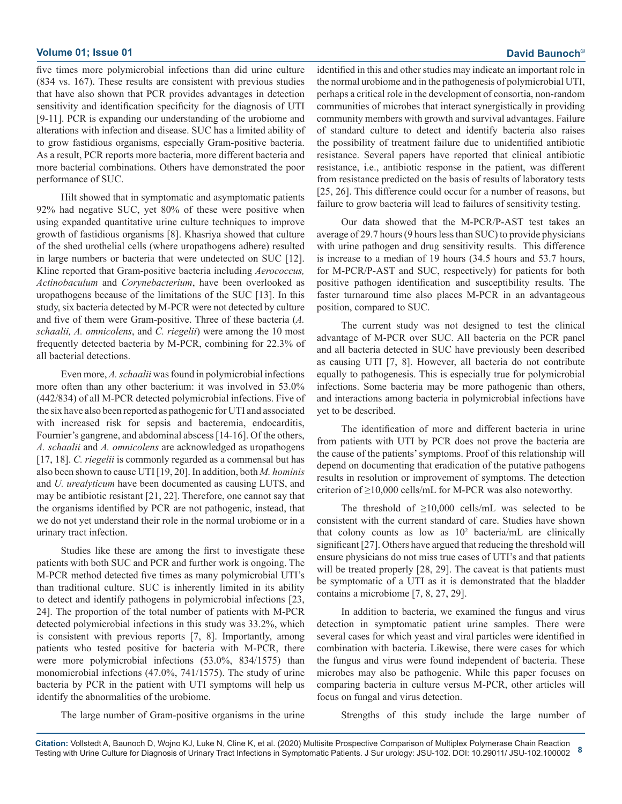five times more polymicrobial infections than did urine culture (834 vs. 167). These results are consistent with previous studies that have also shown that PCR provides advantages in detection sensitivity and identification specificity for the diagnosis of UTI [9-11]. PCR is expanding our understanding of the urobiome and alterations with infection and disease. SUC has a limited ability of to grow fastidious organisms, especially Gram-positive bacteria. As a result, PCR reports more bacteria, more different bacteria and more bacterial combinations. Others have demonstrated the poor performance of SUC.

Hilt showed that in symptomatic and asymptomatic patients 92% had negative SUC, yet 80% of these were positive when using expanded quantitative urine culture techniques to improve growth of fastidious organisms [8]. Khasriya showed that culture of the shed urothelial cells (where uropathogens adhere) resulted in large numbers or bacteria that were undetected on SUC [12]. Kline reported that Gram-positive bacteria including *Aerococcus, Actinobaculum* and *Corynebacterium*, have been overlooked as uropathogens because of the limitations of the SUC [13]. In this study, six bacteria detected by M-PCR were not detected by culture and five of them were Gram-positive. Three of these bacteria (*A. schaalii, A. omnicolens*, and *C. riegelii*) were among the 10 most frequently detected bacteria by M-PCR, combining for 22.3% of all bacterial detections.

Even more, *A. schaalii* was found in polymicrobial infections more often than any other bacterium: it was involved in 53.0% (442/834) of all M-PCR detected polymicrobial infections. Five of the six have also been reported as pathogenic for UTI and associated with increased risk for sepsis and bacteremia, endocarditis, Fournier's gangrene, and abdominal abscess [14-16]. Of the others, *A. schaalii* and *A. omnicolens* are acknowledged as uropathogens [17, 18]. *C. riegelii* is commonly regarded as a commensal but has also been shown to cause UTI [19, 20]. In addition, both *M. hominis* and *U. urealyticum* have been documented as causing LUTS, and may be antibiotic resistant [21, 22]. Therefore, one cannot say that the organisms identified by PCR are not pathogenic, instead, that we do not yet understand their role in the normal urobiome or in a urinary tract infection.

Studies like these are among the first to investigate these patients with both SUC and PCR and further work is ongoing. The M-PCR method detected five times as many polymicrobial UTI's than traditional culture. SUC is inherently limited in its ability to detect and identify pathogens in polymicrobial infections [23, 24]. The proportion of the total number of patients with M-PCR detected polymicrobial infections in this study was 33.2%, which is consistent with previous reports [7, 8]. Importantly, among patients who tested positive for bacteria with M-PCR, there were more polymicrobial infections (53.0%, 834/1575) than monomicrobial infections (47.0%, 741/1575). The study of urine bacteria by PCR in the patient with UTI symptoms will help us identify the abnormalities of the urobiome.

identified in this and other studies may indicate an important role in the normal urobiome and in the pathogenesis of polymicrobial UTI, perhaps a critical role in the development of consortia, non-random communities of microbes that interact synergistically in providing community members with growth and survival advantages. Failure of standard culture to detect and identify bacteria also raises the possibility of treatment failure due to unidentified antibiotic resistance. Several papers have reported that clinical antibiotic resistance, i.e., antibiotic response in the patient, was different from resistance predicted on the basis of results of laboratory tests [25, 26]. This difference could occur for a number of reasons, but failure to grow bacteria will lead to failures of sensitivity testing.

Our data showed that the M-PCR/P-AST test takes an average of 29.7 hours (9 hours less than SUC) to provide physicians with urine pathogen and drug sensitivity results. This difference is increase to a median of 19 hours (34.5 hours and 53.7 hours, for M-PCR/P-AST and SUC, respectively) for patients for both positive pathogen identification and susceptibility results. The faster turnaround time also places M-PCR in an advantageous position, compared to SUC.

The current study was not designed to test the clinical advantage of M-PCR over SUC. All bacteria on the PCR panel and all bacteria detected in SUC have previously been described as causing UTI [7, 8]. However, all bacteria do not contribute equally to pathogenesis. This is especially true for polymicrobial infections. Some bacteria may be more pathogenic than others, and interactions among bacteria in polymicrobial infections have yet to be described.

The identification of more and different bacteria in urine from patients with UTI by PCR does not prove the bacteria are the cause of the patients' symptoms. Proof of this relationship will depend on documenting that eradication of the putative pathogens results in resolution or improvement of symptoms. The detection criterion of  $\geq$ 10,000 cells/mL for M-PCR was also noteworthy.

The threshold of  $\geq 10,000$  cells/mL was selected to be consistent with the current standard of care. Studies have shown that colony counts as low as  $10<sup>2</sup>$  bacteria/mL are clinically significant [27]. Others have argued that reducing the threshold will ensure physicians do not miss true cases of UTI's and that patients will be treated properly [28, 29]. The caveat is that patients must be symptomatic of a UTI as it is demonstrated that the bladder contains a microbiome [7, 8, 27, 29].

In addition to bacteria, we examined the fungus and virus detection in symptomatic patient urine samples. There were several cases for which yeast and viral particles were identified in combination with bacteria. Likewise, there were cases for which the fungus and virus were found independent of bacteria. These microbes may also be pathogenic. While this paper focuses on comparing bacteria in culture versus M-PCR, other articles will focus on fungal and virus detection.

The large number of Gram-positive organisms in the urine

Strengths of this study include the large number of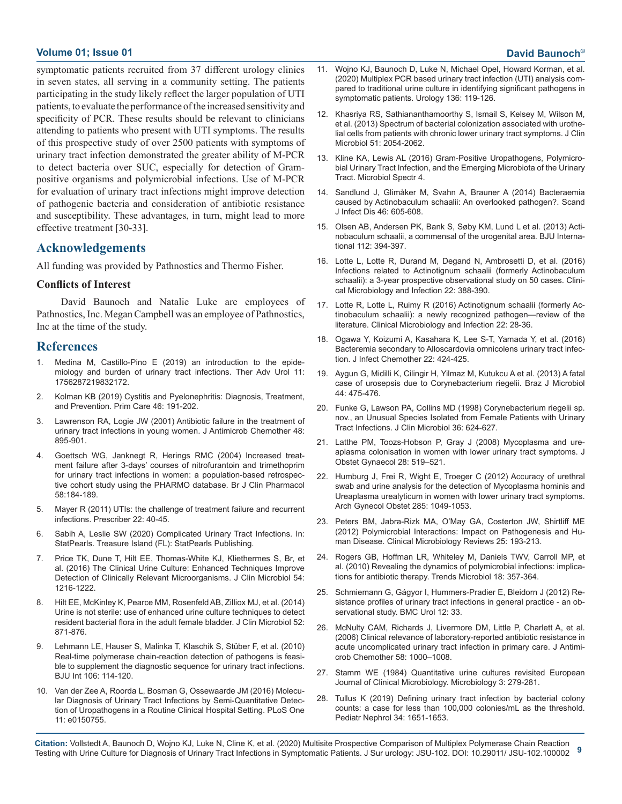symptomatic patients recruited from 37 different urology clinics in seven states, all serving in a community setting. The patients participating in the study likely reflect the larger population of UTI patients, to evaluate the performance of the increased sensitivity and specificity of PCR. These results should be relevant to clinicians attending to patients who present with UTI symptoms. The results of this prospective study of over 2500 patients with symptoms of urinary tract infection demonstrated the greater ability of M-PCR [to detect bacteria over SUC, especially for detection of Gram](https://pubmed.ncbi.nlm.nih.gov/27227294/)positive organisms and polymicrobial infections. Use of M-PCR for evaluation of urinary tract infections might improve detection [of pathogenic bacteria and consideration of antibiotic resistance](https://www.researchgate.net/publication/262538867_Bacteraemia_caused_by_Actinobaculum_schaalii_An_overlooked_pathogen)  and susceptibility. These advantages, in turn, might lead to more effective treatment [30-33].

# **Acknowledgements**

All funding was provided by Pathnostics and Thermo Fisher.

### **Conflicts of Interest**

David Baunoch and Natalie Luke are employees of [Pathnostics, Inc. Megan Campbell was an employee of Pathnostics,](https://pubmed.ncbi.nlm.nih.gov/26577137/)  Inc at the time of the study.

# **References**

- 1. [Medina M, Castillo-Pino E \(2019\) an introduction to the epide](https://www.ncbi.nlm.nih.gov/pmc/articles/PMC6502976/)[miology and burden of urinary tract infections. Ther Adv Urol 11:](https://www.ncbi.nlm.nih.gov/pmc/articles/PMC6502976/)  [1756287219832172.](https://www.ncbi.nlm.nih.gov/pmc/articles/PMC6502976/)
- 2. [Kolman KB \(2019\) Cystitis and Pyelonephritis: Diagnosis, Treatment,](https://pubmed.ncbi.nlm.nih.gov/31030820/)  [and Prevention. Prim Care 46: 191-202.](https://pubmed.ncbi.nlm.nih.gov/31030820/)
- 3. [Lawrenson RA, Logie JW \(2001\) Antibiotic failure in the treatment of](https://pubmed.ncbi.nlm.nih.gov/11733475/)  [urinary tract infections in young women. J Antimicrob Chemother 48:](https://pubmed.ncbi.nlm.nih.gov/11733475/)  [895-901.](https://pubmed.ncbi.nlm.nih.gov/11733475/)
- 4. [Goettsch WG, Janknegt R, Herings RMC \(2004\) Increased treat](https://www.ncbi.nlm.nih.gov/pmc/articles/PMC1884592/)[ment failure after 3-days' courses of nitrofurantoin and trimethoprim](https://www.ncbi.nlm.nih.gov/pmc/articles/PMC1884592/)  [for urinary tract infections in women: a population-based retrospec](https://www.ncbi.nlm.nih.gov/pmc/articles/PMC1884592/)[tive cohort study using the PHARMO database. Br J Clin Pharmacol](https://www.ncbi.nlm.nih.gov/pmc/articles/PMC1884592/) [58:184-189.](https://www.ncbi.nlm.nih.gov/pmc/articles/PMC1884592/)
- 5. [Mayer R \(2011\) UTIs: the challenge of treatment failure and recurrent](https://www.researchgate.net/publication/227542255_UTIs_the_challenge_of_treatment_failure_and_recurrent_infections)  [infections. Prescriber 22: 40-45.](https://www.researchgate.net/publication/227542255_UTIs_the_challenge_of_treatment_failure_and_recurrent_infections)
- 6. [Sabih A, Leslie SW \(2020\) Complicated Urinary Tract Infections. In:](https://www.ncbi.nlm.nih.gov/books/NBK436013/) [StatPearls. Treasure Island \(FL\): StatPearls Publishing.](https://www.ncbi.nlm.nih.gov/books/NBK436013/)
- 7. [Price TK, Dune T, Hilt EE, Thomas-White KJ, Kliethermes S, Br, et](https://www.ncbi.nlm.nih.gov/pmc/articles/PMC4844725/)  [al. \(2016\) The Clinical Urine Culture: Enhanced Techniques Improve](https://www.ncbi.nlm.nih.gov/pmc/articles/PMC4844725/)  [Detection of Clinically Relevant Microorganisms. J Clin Microbiol 54:](https://www.ncbi.nlm.nih.gov/pmc/articles/PMC4844725/)  [1216-1222.](https://www.ncbi.nlm.nih.gov/pmc/articles/PMC4844725/)
- 8. [Hilt EE, McKinley K, Pearce MM, Rosenfeld AB, Zilliox MJ, et al. \(2014\)](https://pubmed.ncbi.nlm.nih.gov/24371246/) [Urine is not sterile: use of enhanced urine culture techniques to detect](https://pubmed.ncbi.nlm.nih.gov/24371246/)  [resident bacterial flora in the adult female bladder. J Clin Microbiol 52:](https://pubmed.ncbi.nlm.nih.gov/24371246/)  [871-876.](https://pubmed.ncbi.nlm.nih.gov/24371246/)
- 9. [Lehmann LE, Hauser S, Malinka T, Klaschik S, Stüber F, et al. \(2010\)](https://pubmed.ncbi.nlm.nih.gov/19874298/)  [Real-time polymerase chain-reaction detection of pathogens is feasi](https://pubmed.ncbi.nlm.nih.gov/19874298/)[ble to supplement the diagnostic sequence for urinary tract infections.](https://pubmed.ncbi.nlm.nih.gov/19874298/)  [BJU Int 106: 114-120.](https://pubmed.ncbi.nlm.nih.gov/19874298/)
- 10. [Van der Zee A, Roorda L, Bosman G, Ossewaarde JM \(2016\) Molecu](https://www.ncbi.nlm.nih.gov/pmc/articles/PMC4783162/)[lar Diagnosis of Urinary Tract Infections by Semi-Quantitative Detec](https://www.ncbi.nlm.nih.gov/pmc/articles/PMC4783162/)[tion of Uropathogens in a Routine Clinical Hospital Setting. PLoS One](https://www.ncbi.nlm.nih.gov/pmc/articles/PMC4783162/)  [11: e0150755.](https://www.ncbi.nlm.nih.gov/pmc/articles/PMC4783162/)
- 11. [Wojno KJ, Baunoch D, Luke N, Michael Opel, Howard Korman, et al.](https://pubmed.ncbi.nlm.nih.gov/31715272/) [\(2020\) Multiplex PCR based urinary tract infection \(UTI\) analysis com](https://pubmed.ncbi.nlm.nih.gov/31715272/)[pared to traditional urine culture in identifying significant pathogens in](https://pubmed.ncbi.nlm.nih.gov/31715272/)  [symptomatic patients. Urology 136: 119-126.](https://pubmed.ncbi.nlm.nih.gov/31715272/)
- 12. [Khasriya RS, Sathiananthamoorthy S, Ismail S, Kelsey M, Wilson M,](https://www.ncbi.nlm.nih.gov/pmc/articles/PMC3697662/) [et al. \(2013\) Spectrum of bacterial colonization associated with urothe](https://www.ncbi.nlm.nih.gov/pmc/articles/PMC3697662/)[lial cells from patients with chronic lower urinary tract symptoms. J Clin](https://www.ncbi.nlm.nih.gov/pmc/articles/PMC3697662/)  [Microbiol 51: 2054-2062.](https://www.ncbi.nlm.nih.gov/pmc/articles/PMC3697662/)
- 13. [Kline KA, Lewis AL \(2016\) Gram-Positive Uropathogens, Polymicro](https://pubmed.ncbi.nlm.nih.gov/27227294/)bial Urinary Tract Infection, and the Emerging Microbiota of the Urinary [Tract. Microbiol Spectr 4.](https://pubmed.ncbi.nlm.nih.gov/27227294/)
- 14. [Sandlund J, Glimåker M, Svahn A, Brauner A \(2014\) Bacteraemia](https://www.researchgate.net/publication/262538867_Bacteraemia_caused_by_Actinobaculum_schaalii_An_overlooked_pathogen)  caused by Actinobaculum schaalii: An overlooked pathogen?. Scand [J Infect Dis 46: 605-608.](https://www.researchgate.net/publication/262538867_Bacteraemia_caused_by_Actinobaculum_schaalii_An_overlooked_pathogen)
- 15. [Olsen AB, Andersen PK, Bank S, Søby KM, Lund L et al. \(2013\) Acti](https://bjui-journals.onlinelibrary.wiley.com/doi/full/10.1111/j.1464-410X.2012.11739.x)[nobaculum schaalii, a commensal of the urogenital area. BJU Interna](https://bjui-journals.onlinelibrary.wiley.com/doi/full/10.1111/j.1464-410X.2012.11739.x)[tional 112: 394-397.](https://bjui-journals.onlinelibrary.wiley.com/doi/full/10.1111/j.1464-410X.2012.11739.x)
- 16. [Lotte L, Lotte R, Durand M, Degand N, Ambrosetti D, et al. \(2016\)](https://pubmed.ncbi.nlm.nih.gov/26551841/)  [Infections related to Actinotignum schaalii \(formerly Actinobaculum](https://pubmed.ncbi.nlm.nih.gov/26551841/)  [schaalii\): a 3-year prospective observational study on 50 cases. Clini](https://pubmed.ncbi.nlm.nih.gov/26551841/)[cal Microbiology and Infection 22: 388-390.](https://pubmed.ncbi.nlm.nih.gov/26551841/)
- 17. [Lotte R, Lotte L, Ruimy R \(2016\) Actinotignum schaalii \(formerly Ac](https://pubmed.ncbi.nlm.nih.gov/26577137/)tinobaculum schaalii): a newly recognized pathogen—review of the [literature. Clinical Microbiology and Infection 22: 28-36.](https://pubmed.ncbi.nlm.nih.gov/26577137/)
- 18. [Ogawa Y, Koizumi A, Kasahara K, Lee S-T, Yamada Y, et al. \(2016\)](https://www.sciencedirect.com/science/article/abs/pii/S1341321X16000039) [Bacteremia secondary to Alloscardovia omnicolens urinary tract infec](https://www.sciencedirect.com/science/article/abs/pii/S1341321X16000039)[tion. J Infect Chemother 22: 424-425.](https://www.sciencedirect.com/science/article/abs/pii/S1341321X16000039)
- 19. [Aygun G, Midilli K, Cilingir H, Yilmaz M, Kutukcu A et al. \(2013\) A fatal](https://www.ncbi.nlm.nih.gov/pmc/articles/PMC3833147/) [case of urosepsis due to Corynebacterium riegelii. Braz J Microbiol](https://www.ncbi.nlm.nih.gov/pmc/articles/PMC3833147/)  [44: 475-476.](https://www.ncbi.nlm.nih.gov/pmc/articles/PMC3833147/)
- 20. [Funke G, Lawson PA, Collins MD \(1998\) Corynebacterium riegelii sp.](https://www.ncbi.nlm.nih.gov/pmc/articles/PMC104597/) [nov., an Unusual Species Isolated from Female Patients with Urinary](https://www.ncbi.nlm.nih.gov/pmc/articles/PMC104597/) [Tract Infections. J Clin Microbiol 36: 624-627.](https://www.ncbi.nlm.nih.gov/pmc/articles/PMC104597/)
- 21. [Latthe PM, Toozs-Hobson P, Gray J \(2008\) Mycoplasma and ure](https://www.tandfonline.com/doi/abs/10.1080/01443610802097690)[aplasma colonisation in women with lower urinary tract symptoms. J](https://www.tandfonline.com/doi/abs/10.1080/01443610802097690)  [Obstet Gynaecol 28: 519–521.](https://www.tandfonline.com/doi/abs/10.1080/01443610802097690)
- 22. [Humburg J, Frei R, Wight E, Troeger C \(2012\) Accuracy of urethral](https://www.researchgate.net/publication/51726193_Accuracy_of_urethral_swab_and_urine_analysis_for_the_detection_of_Mycoplasma_hominis_and_Ureaplasma_urealyticum_in_women_with_lower_urinary_tract_symptoms)  swab and urine analysis for the detection of Mycoplasma hominis and [Ureaplasma urealyticum in women with lower urinary tract symptoms.](https://www.researchgate.net/publication/51726193_Accuracy_of_urethral_swab_and_urine_analysis_for_the_detection_of_Mycoplasma_hominis_and_Ureaplasma_urealyticum_in_women_with_lower_urinary_tract_symptoms) [Arch Gynecol Obstet 285: 1049-1053.](https://www.researchgate.net/publication/51726193_Accuracy_of_urethral_swab_and_urine_analysis_for_the_detection_of_Mycoplasma_hominis_and_Ureaplasma_urealyticum_in_women_with_lower_urinary_tract_symptoms)
- 23. [Peters BM, Jabra-Rizk MA, O'May GA, Costerton JW, Shirtliff ME](https://www.ncbi.nlm.nih.gov/pmc/articles/PMC3255964/) [\(2012\) Polymicrobial Interactions: Impact on Pathogenesis and Hu](https://www.ncbi.nlm.nih.gov/pmc/articles/PMC3255964/)[man Disease. Clinical Microbiology Reviews 25: 193-213.](https://www.ncbi.nlm.nih.gov/pmc/articles/PMC3255964/)
- 24. [Rogers GB, Hoffman LR, Whiteley M, Daniels TWV, Carroll MP, et](https://www.ncbi.nlm.nih.gov/pmc/articles/PMC3034215/) [al. \(2010\) Revealing the dynamics of polymicrobial infections: implica](https://www.ncbi.nlm.nih.gov/pmc/articles/PMC3034215/)[tions for antibiotic therapy. Trends Microbiol 18: 357-364.](https://www.ncbi.nlm.nih.gov/pmc/articles/PMC3034215/)
- 25. [Schmiemann G, Gágyor I, Hummers-Pradier E, Bleidorn J \(2012\) Re](https://www.ncbi.nlm.nih.gov/pmc/articles/PMC3534546/)sistance profiles of urinary tract infections in general practice - an ob[servational study. BMC Urol 12: 33.](https://www.ncbi.nlm.nih.gov/pmc/articles/PMC3534546/)
- 26. [McNulty CAM, Richards J, Livermore DM, Little P, Charlett A, et al.](https://academic.oup.com/jac/article/58/5/1000/742331)  [\(2006\) Clinical relevance of laboratory-reported antibiotic resistance in](https://academic.oup.com/jac/article/58/5/1000/742331)  [acute uncomplicated urinary tract infection in primary care. J Antimi](https://academic.oup.com/jac/article/58/5/1000/742331)[crob Chemother 58: 1000–1008.](https://academic.oup.com/jac/article/58/5/1000/742331)
- 27. [Stamm WE \(1984\) Quantitative urine cultures revisited European](https://europepmc.org/article/med/6386456)  [Journal of Clinical Microbiology. Microbiology 3: 279-281.](https://europepmc.org/article/med/6386456)
- 28. [Tullus K \(2019\) Defining urinary tract infection by bacterial colony](https://pubmed.ncbi.nlm.nih.gov/31222664/)  [counts: a case for less than 100,000 colonies/mL as the threshold.](https://pubmed.ncbi.nlm.nih.gov/31222664/) [Pediatr Nephrol 34: 1651-1653.](https://pubmed.ncbi.nlm.nih.gov/31222664/)